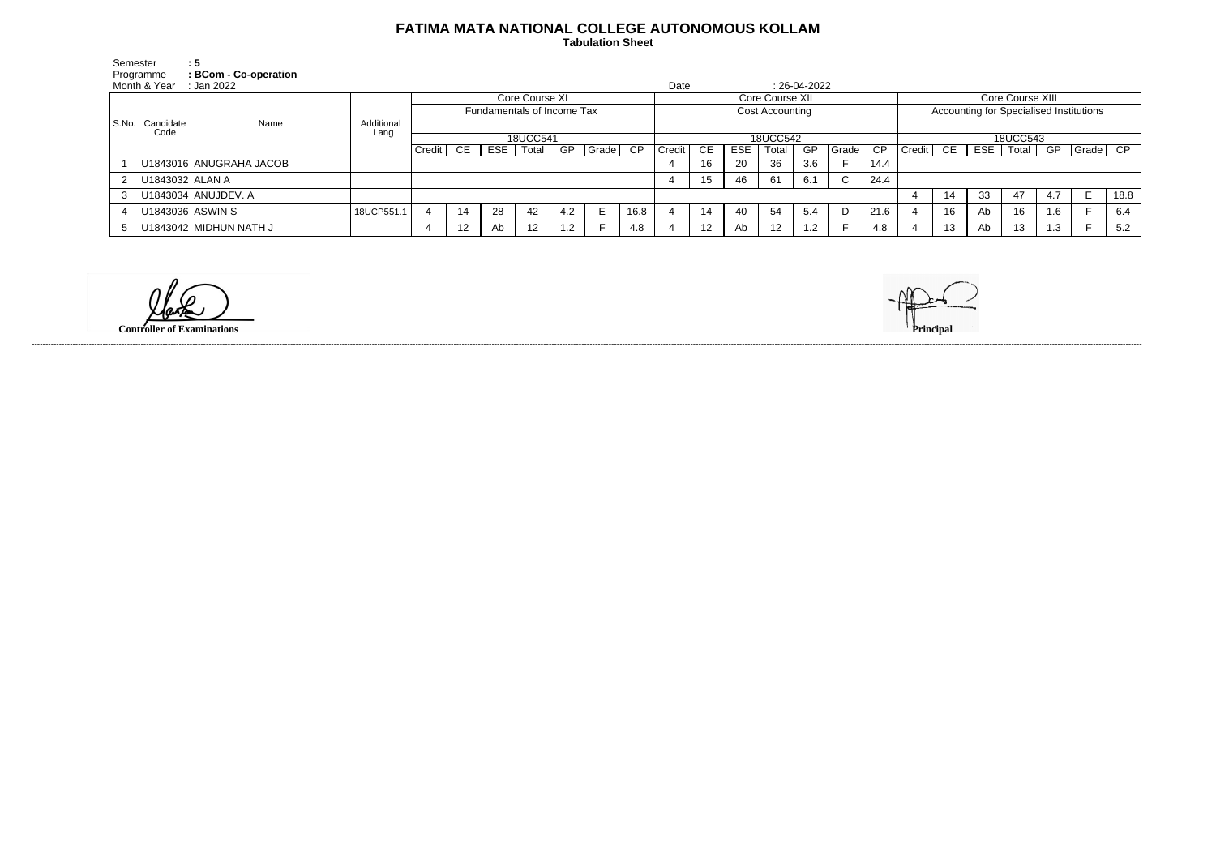## **FATIMA MATA NATIONAL COLLEGE AUTONOMOUS KOLLAM**

 **Tabulation Sheet** 

| Semester    |                           | :5                      |                    |                            |    |     |       |     |          |                 |          |    |     |       |                |             |      |                                         |     |     |       |     |              |      |
|-------------|---------------------------|-------------------------|--------------------|----------------------------|----|-----|-------|-----|----------|-----------------|----------|----|-----|-------|----------------|-------------|------|-----------------------------------------|-----|-----|-------|-----|--------------|------|
| Programme   |                           | : BCom - Co-operation   | Date               |                            |    |     |       |     |          |                 |          |    |     |       |                |             |      |                                         |     |     |       |     |              |      |
|             | Month & Year              | : Jan 2022              |                    |                            |    |     |       |     |          |                 |          |    |     |       | $: 26-04-2022$ |             |      |                                         |     |     |       |     |              |      |
|             | S.No.   Candidate<br>Code | Name                    | Additional<br>Lang | Core Course XI             |    |     |       |     |          | Core Course XII |          |    |     |       |                |             |      | Core Course XIII                        |     |     |       |     |              |      |
|             |                           |                         |                    | Fundamentals of Income Tax |    |     |       |     |          | Cost Accounting |          |    |     |       |                |             |      | Accounting for Specialised Institutions |     |     |       |     |              |      |
|             |                           |                         |                    |                            |    |     |       |     |          |                 |          |    |     |       |                |             |      |                                         |     |     |       |     |              |      |
|             |                           |                         |                    | 18UCC541                   |    |     |       |     |          |                 | 18UCC542 |    |     |       |                |             |      | 18UCC543                                |     |     |       |     |              |      |
|             |                           |                         |                    | Credit                     | CE | ESE | Total | GP  | Grade CP |                 | Credit   | CE | ESE | Total | GP             | Grade       | CP   | Credit                                  | CE. | ESE | Total | GP  | $Grade$ $CP$ |      |
|             |                           | U1843016 ANUGRAHA JACOB |                    |                            |    |     |       |     |          |                 |          | 16 | 20  | 36    | 3.6            |             | 14.4 |                                         |     |     |       |     |              |      |
| $2^{\circ}$ | U1843032   ALAN A         |                         |                    |                            |    |     |       |     |          |                 |          | 15 | 46  | 61    | 6.1            | $\sim$<br>◡ | 24.4 |                                         |     |     |       |     |              |      |
| 3           |                           | U1843034 ANUJDEV. A     |                    |                            |    |     |       |     |          |                 |          |    |     |       |                |             |      |                                         | 14  | 33  | 47    | 4.7 | Е            | 18.8 |
|             | U1843036 ASWIN S          |                         | 18UCP551.1         |                            | 14 | 28  | 42    | 4.2 |          | 16.8            |          | 14 | 40  | 54    | 5.4            |             | 21.6 |                                         | 16  | Ab  | 16    | 1.6 |              | 6.4  |
| 5           |                           | U1843042 MIDHUN NATH J  |                    |                            | 12 | Ab  | 12    | 1.2 |          | 4.8             |          | 12 | Ab  | 12    | 1.2            |             | 4.8  |                                         | 13  | Ab  | 13    | 1.3 |              | 5.2  |

**Controller of Examinations Principal**



------------------------------------------------------------------------------------------------------------------------------------------------------------------------------------------------------------------------------------------------------------------------------------------------------------------------------------------------------------------------------------------------------------------------